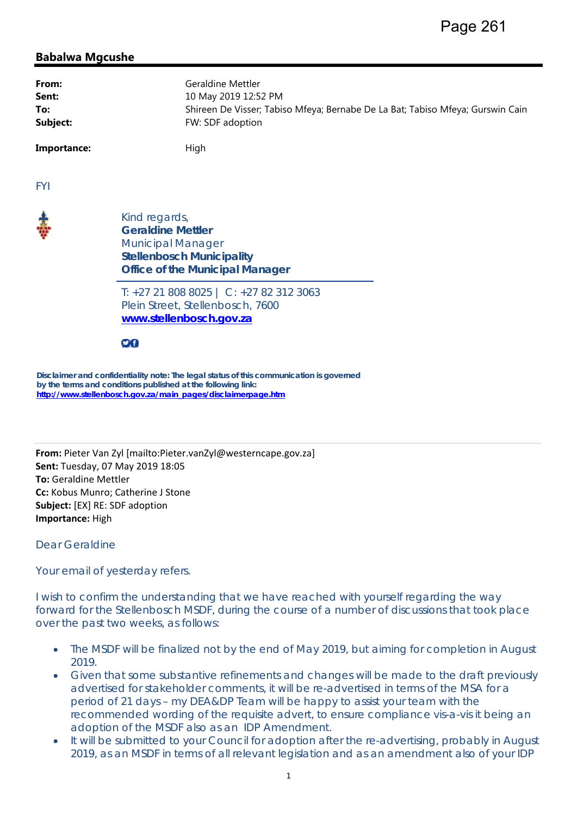## **Babalwa Mgcushe**

| From:       | Geraldine Mettler                                                              |
|-------------|--------------------------------------------------------------------------------|
| Sent:       | 10 May 2019 12:52 PM                                                           |
| To:         | Shireen De Visser; Tabiso Mfeya; Bernabe De La Bat; Tabiso Mfeya; Gurswin Cain |
| Subject:    | FW: SDF adoption                                                               |
| Importance: | High                                                                           |

FYI



Kind regards*,*  **Geraldine Mettler**  Municipal Manager **Stellenbosch Municipality Office of the Municipal Manager** 

*T: +27 21 808 8025 | C: +27 82 312 3063 Plein Street, Stellenbosch, 7600*  **www.stellenbosch.gov.za**

90

**Disclaimer and confidentiality note: The legal status of this communication is governed by the terms and conditions published at the following link: http://www.stellenbosch.gov.za/main\_pages/disclaimerpage.htm**

**From:** Pieter Van Zyl [mailto:Pieter.vanZyl@westerncape.gov.za] **Sent:** Tuesday, 07 May 2019 18:05 **To:** Geraldine Mettler **Cc:** Kobus Munro; Catherine J Stone **Subject:** [EX] RE: SDF adoption **Importance:** High

Dear Geraldine

Your email of yesterday refers.

I wish to confirm the understanding that we have reached with yourself regarding the way forward for the Stellenbosch MSDF, during the course of a number of discussions that took place over the past two weeks, as follows:

- The MSDF will be finalized not by the end of May 2019, but aiming for completion in August 2019.
- Given that some substantive refinements and changes will be made to the draft previously advertised for stakeholder comments, it will be re-advertised in terms of the MSA for a period of 21 days – my DEA&DP Team will be happy to assist your team with the recommended wording of the requisite advert, to ensure compliance *vis-a-vis* it being an adoption of the MSDF also as an IDP Amendment.
- It will be submitted to your Council for adoption after the re-advertising, probably in August 2019, as an MSDF in terms of all relevant legislation and as an amendment also of your IDP